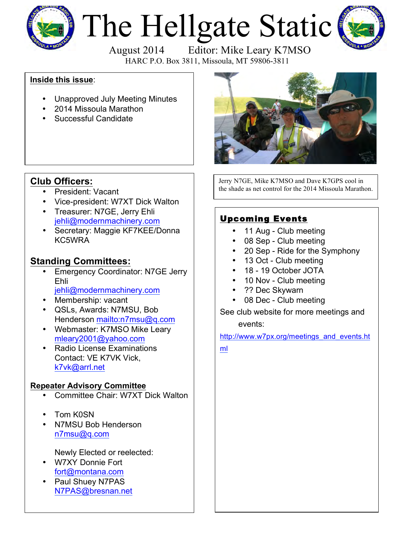

# The Hellgate Static



HARC P.O. Box 3811, Missoula, MT 59806-3811

#### **Inside this issue**:

- Unapproved July Meeting Minutes
- 2014 Missoula Marathon
- Successful Candidate

Jerry N7GE, Mike K7MSO and Dave K7GPS cool in the shade as net control for the 2014 Missoula Marathon.

# **Club Officers:**

- President: Vacant
- Vice-president: W7XT Dick Walton
- Treasurer: N7GE, Jerry Ehli jehli@modernmachinery.com
- Secretary: Maggie KF7KEE/Donna KC5WRA

### **Standing Committees:**

- **Emergency Coordinator: N7GE Jerry** Ehli jehli@modernmachinery.com
- Membership: vacant
- QSLs, Awards: N7MSU, Bob Henderson mailto:n7msu@q.com
- Webmaster: K7MSO Mike Leary mleary2001@yahoo.com
- Radio License Examinations Contact: VE K7VK Vick, k7vk@arrl.net

#### **Repeater Advisory Committee**

- Committee Chair: W7XT Dick Walton
- Tom K0SN
- N7MSU Bob Henderson n7msu@q.com

Newly Elected or reelected:

- W7XY Donnie Fort fort@montana.com
- Paul Shuey N7PAS N7PAS@bresnan.net

# Upcoming Events

- 11 Aug Club meeting
- 08 Sep Club meeting
- 20 Sep Ride for the Symphony
- 13 Oct Club meeting
- 18 19 October JOTA
- 10 Nov Club meeting
- ?? Dec Skywarn
- 08 Dec Club meeting

See club website for more meetings and

events:

http://www.w7px.org/meetings\_and\_events.ht

ml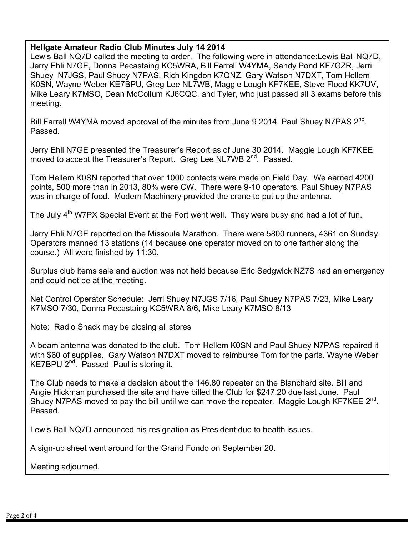#### **Hellgate Amateur Radio Club Minutes July 14 2014**

Lewis Ball NQ7D called the meeting to order. The following were in attendance:Lewis Ball NQ7D, Jerry Ehli N7GE, Donna Pecastaing KC5WRA, Bill Farrell W4YMA, Sandy Pond KF7GZR, Jerri Shuey N7JGS, Paul Shuey N7PAS, Rich Kingdon K7QNZ, Gary Watson N7DXT, Tom Hellem K0SN, Wayne Weber KE7BPU, Greg Lee NL7WB, Maggie Lough KF7KEE, Steve Flood KK7UV, Mike Leary K7MSO, Dean McCollum KJ6CQC, and Tyler, who just passed all 3 exams before this meeting.

Bill Farrell W4YMA moved approval of the minutes from June 9 2014. Paul Shuey N7PAS 2<sup>nd</sup>. Passed.

Jerry Ehli N7GE presented the Treasurer's Report as of June 30 2014. Maggie Lough KF7KEE moved to accept the Treasurer's Report. Greg Lee NL7WB 2<sup>nd</sup>. Passed.

Tom Hellem K0SN reported that over 1000 contacts were made on Field Day. We earned 4200 points, 500 more than in 2013, 80% were CW. There were 9-10 operators. Paul Shuey N7PAS was in charge of food. Modern Machinery provided the crane to put up the antenna.

The July  $4<sup>th</sup>$  W7PX Special Event at the Fort went well. They were busy and had a lot of fun.

Jerry Ehli N7GE reported on the Missoula Marathon. There were 5800 runners, 4361 on Sunday. Operators manned 13 stations (14 because one operator moved on to one farther along the course.) All were finished by 11:30.

Surplus club items sale and auction was not held because Eric Sedgwick NZ7S had an emergency and could not be at the meeting.

Net Control Operator Schedule: Jerri Shuey N7JGS 7/16, Paul Shuey N7PAS 7/23, Mike Leary K7MSO 7/30, Donna Pecastaing KC5WRA 8/6, Mike Leary K7MSO 8/13

Note: Radio Shack may be closing all stores

A beam antenna was donated to the club. Tom Hellem K0SN and Paul Shuey N7PAS repaired it with \$60 of supplies. Gary Watson N7DXT moved to reimburse Tom for the parts. Wayne Weber KE7BPU  $2^{nd}$ . Passed Paul is storing it.

The Club needs to make a decision about the 146.80 repeater on the Blanchard site. Bill and Angie Hickman purchased the site and have billed the Club for \$247.20 due last June. Paul Shuey N7PAS moved to pay the bill until we can move the repeater. Maggie Lough KF7KEE  $2^{nd}$ . Passed.

Lewis Ball NQ7D announced his resignation as President due to health issues.

A sign-up sheet went around for the Grand Fondo on September 20.

Meeting adjourned.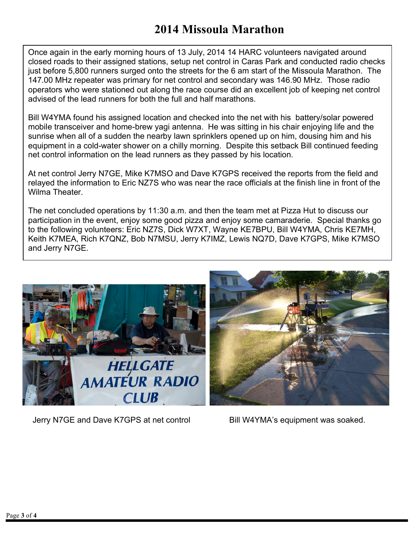# **2014 Missoula Marathon**

Once again in the early morning hours of 13 July, 2014 14 HARC volunteers navigated around closed roads to their assigned stations, setup net control in Caras Park and conducted radio checks just before 5,800 runners surged onto the streets for the 6 am start of the Missoula Marathon. The 147.00 MHz repeater was primary for net control and secondary was 146.90 MHz. Those radio operators who were stationed out along the race course did an excellent job of keeping net control advised of the lead runners for both the full and half marathons.

Bill W4YMA found his assigned location and checked into the net with his battery/solar powered mobile transceiver and home-brew yagi antenna. He was sitting in his chair enjoying life and the sunrise when all of a sudden the nearby lawn sprinklers opened up on him, dousing him and his equipment in a cold-water shower on a chilly morning. Despite this setback Bill continued feeding net control information on the lead runners as they passed by his location.

At net control Jerry N7GE, Mike K7MSO and Dave K7GPS received the reports from the field and relayed the information to Eric NZ7S who was near the race officials at the finish line in front of the Wilma Theater.

The net concluded operations by 11:30 a.m. and then the team met at Pizza Hut to discuss our participation in the event, enjoy some good pizza and enjoy some camaraderie. Special thanks go to the following volunteers: Eric NZ7S, Dick W7XT, Wayne KE7BPU, Bill W4YMA, Chris KE7MH, Keith K7MEA, Rich K7QNZ, Bob N7MSU, Jerry K7IMZ, Lewis NQ7D, Dave K7GPS, Mike K7MSO and Jerry N7GE.



Jerry N7GE and Dave K7GPS at net controlBill W4YMA's equipment was soaked.